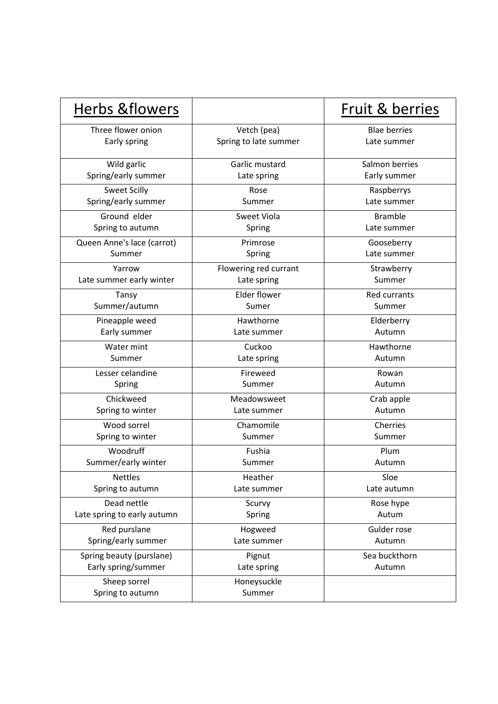| Herbs & flowers                  |                       | <b>Fruit &amp; berries</b> |
|----------------------------------|-----------------------|----------------------------|
| Three flower onion               | Vetch (pea)           | <b>Blae berries</b>        |
| Early spring                     | Spring to late summer | Late summer                |
| Wild garlic                      | Garlic mustard        | Salmon berries             |
| Spring/early summer              | Late spring           | Early summer               |
| <b>Sweet Scilly</b>              | Rose                  | Raspberrys                 |
| Spring/early summer              | Summer                | Late summer                |
| Ground elder                     | Sweet Viola           | <b>Bramble</b>             |
| Spring to autumn                 | Spring                | Late summer                |
| Queen Anne's lace (carrot)       | Primrose              | Gooseberry                 |
| Summer                           | Spring                | Late summer                |
| Yarrow                           | Flowering red currant | Strawberry                 |
| Late summer early winter         | Late spring           | Summer                     |
| Tansy                            | <b>Elder flower</b>   | <b>Red currants</b>        |
| Summer/autumn                    | Sumer                 | Summer                     |
| Pineapple weed                   | Hawthorne             | Elderberry                 |
| Early summer                     | Late summer           | Autumn                     |
| Water mint                       | Cuckoo                | Hawthorne                  |
| Summer                           | Late spring           | Autumn                     |
| Lesser celandine                 | Fireweed              | Rowan                      |
| Spring                           | Summer                | Autumn                     |
| Chickweed                        | Meadowsweet           | Crab apple                 |
| Spring to winter                 | Late summer           | Autumn                     |
| Wood sorrel                      | Chamomile             | Cherries                   |
| Spring to winter                 | Summer                | Summer                     |
| Woodruff                         | Fushia                | Plum                       |
| Summer/early winter              | Summer                | Autumn                     |
| <b>Nettles</b>                   | Heather               | Sloe                       |
| Spring to autumn                 | Late summer           | Late autumn                |
| Dead nettle                      | Scurvy                | Rose hype                  |
| Late spring to early autumn      | Spring                | Autum                      |
| Red purslane                     | Hogweed               | Gulder rose                |
| Spring/early summer              | Late summer           | Autumn                     |
| Spring beauty (purslane)         | Pignut                | Sea buckthorn              |
| Early spring/summer              | Late spring           | Autumn                     |
| Sheep sorrel<br>Spring to autumn | Honeysuckle<br>Summer |                            |